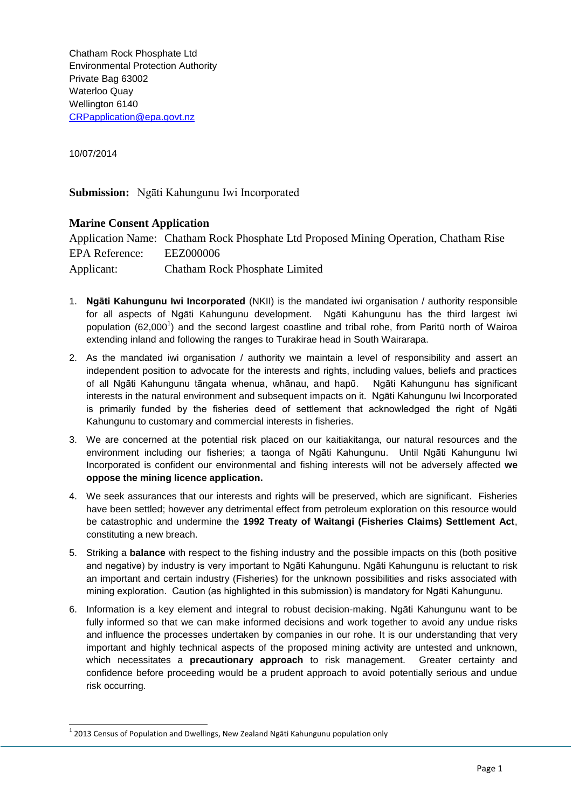Chatham Rock Phosphate Ltd Environmental Protection Authority Private Bag 63002 Waterloo Quay Wellington 6140 [CRPapplication@epa.govt.nz](mailto:CRPapplication@epa.govt.nz)

10/07/2014

-

**Submission:** Ngāti Kahungunu Iwi Incorporated

## **Marine Consent Application**

Application Name: Chatham Rock Phosphate Ltd Proposed Mining Operation, Chatham Rise EPA Reference: EEZ000006 Applicant: Chatham Rock Phosphate Limited

- 1. **Ngāti Kahungunu Iwi Incorporated** (NKII) is the mandated iwi organisation / authority responsible for all aspects of Ngāti Kahungunu development. Ngāti Kahungunu has the third largest iwi population (62,000<sup>1</sup>) and the second largest coastline and tribal rohe, from Paritū north of Wairoa extending inland and following the ranges to Turakirae head in South Wairarapa.
- 2. As the mandated iwi organisation / authority we maintain a level of responsibility and assert an independent position to advocate for the interests and rights, including values, beliefs and practices of all Ngāti Kahungunu tāngata whenua, whānau, and hapū. Ngāti Kahungunu has significant interests in the natural environment and subsequent impacts on it. Ngāti Kahungunu Iwi Incorporated is primarily funded by the fisheries deed of settlement that acknowledged the right of Ngāti Kahungunu to customary and commercial interests in fisheries.
- 3. We are concerned at the potential risk placed on our kaitiakitanga, our natural resources and the environment including our fisheries; a taonga of Ngāti Kahungunu. Until Ngāti Kahungunu Iwi Incorporated is confident our environmental and fishing interests will not be adversely affected **we oppose the mining licence application.**
- 4. We seek assurances that our interests and rights will be preserved, which are significant. Fisheries have been settled; however any detrimental effect from petroleum exploration on this resource would be catastrophic and undermine the **1992 Treaty of Waitangi (Fisheries Claims) Settlement Act**, constituting a new breach.
- 5. Striking a **balance** with respect to the fishing industry and the possible impacts on this (both positive and negative) by industry is very important to Ngāti Kahungunu. Ngāti Kahungunu is reluctant to risk an important and certain industry (Fisheries) for the unknown possibilities and risks associated with mining exploration. Caution (as highlighted in this submission) is mandatory for Ngāti Kahungunu.
- 6. Information is a key element and integral to robust decision-making. Ngāti Kahungunu want to be fully informed so that we can make informed decisions and work together to avoid any undue risks and influence the processes undertaken by companies in our rohe. It is our understanding that very important and highly technical aspects of the proposed mining activity are untested and unknown, which necessitates a **precautionary approach** to risk management. Greater certainty and confidence before proceeding would be a prudent approach to avoid potentially serious and undue risk occurring.

 $<sup>1</sup>$  2013 Census of Population and Dwellings, New Zealand Ngāti Kahungunu population only</sup>